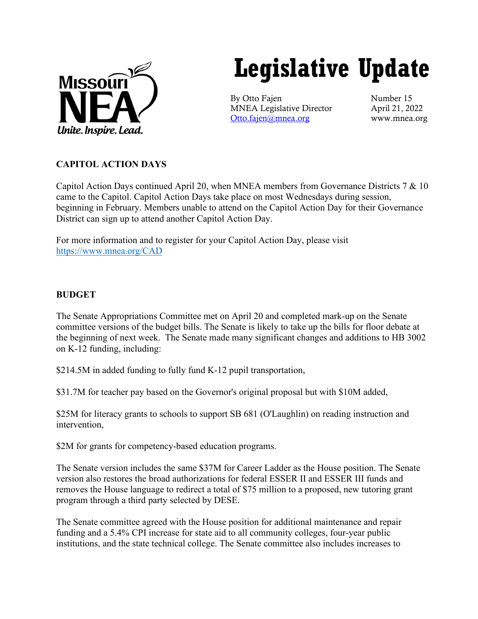

# **Legislative Update**

By Otto Fajen Number 15 MNEA Legislative Director April 21, 2022 [Otto.fajen@mnea.org](mailto:Otto.fajen@mnea.org) www.mnea.org

## **CAPITOL ACTION DAYS**

Capitol Action Days continued April 20, when MNEA members from Governance Districts 7 & 10 came to the Capitol. Capitol Action Days take place on most Wednesdays during session, beginning in February. Members unable to attend on the Capitol Action Day for their Governance District can sign up to attend another Capitol Action Day.

For more information and to register for your Capitol Action Day, please visit <https://www.mnea.org/CAD>

## **BUDGET**

The Senate Appropriations Committee met on April 20 and completed mark-up on the Senate committee versions of the budget bills. The Senate is likely to take up the bills for floor debate at the beginning of next week. The Senate made many significant changes and additions to HB 3002 on K-12 funding, including:

\$214.5M in added funding to fully fund K-12 pupil transportation,

\$31.7M for teacher pay based on the Governor's original proposal but with \$10M added,

\$25M for literacy grants to schools to support SB 681 (O'Laughlin) on reading instruction and intervention,

\$2M for grants for competency-based education programs.

The Senate version includes the same \$37M for Career Ladder as the House position. The Senate version also restores the broad authorizations for federal ESSER II and ESSER III funds and removes the House language to redirect a total of \$75 million to a proposed, new tutoring grant program through a third party selected by DESE.

The Senate committee agreed with the House position for additional maintenance and repair funding and a 5.4% CPI increase for state aid to all community colleges, four-year public institutions, and the state technical college. The Senate committee also includes increases to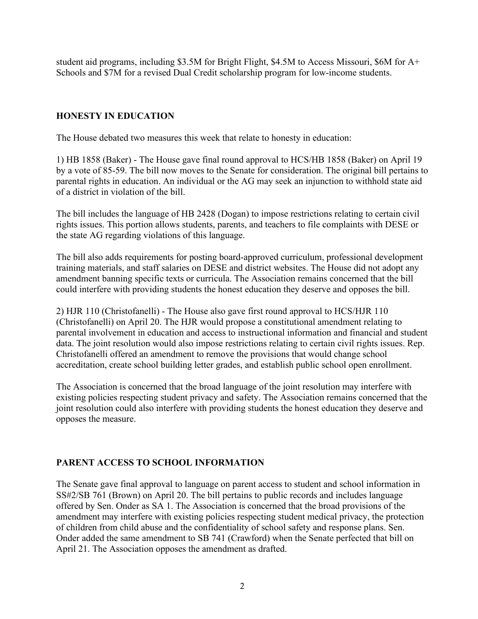student aid programs, including \$3.5M for Bright Flight, \$4.5M to Access Missouri, \$6M for A+ Schools and \$7M for a revised Dual Credit scholarship program for low-income students.

## **HONESTY IN EDUCATION**

The House debated two measures this week that relate to honesty in education:

1) HB 1858 (Baker) - The House gave final round approval to HCS/HB 1858 (Baker) on April 19 by a vote of 85-59. The bill now moves to the Senate for consideration. The original bill pertains to parental rights in education. An individual or the AG may seek an injunction to withhold state aid of a district in violation of the bill.

The bill includes the language of HB 2428 (Dogan) to impose restrictions relating to certain civil rights issues. This portion allows students, parents, and teachers to file complaints with DESE or the state AG regarding violations of this language.

The bill also adds requirements for posting board-approved curriculum, professional development training materials, and staff salaries on DESE and district websites. The House did not adopt any amendment banning specific texts or curricula. The Association remains concerned that the bill could interfere with providing students the honest education they deserve and opposes the bill.

2) HJR 110 (Christofanelli) - The House also gave first round approval to HCS/HJR 110 (Christofanelli) on April 20. The HJR would propose a constitutional amendment relating to parental involvement in education and access to instructional information and financial and student data. The joint resolution would also impose restrictions relating to certain civil rights issues. Rep. Christofanelli offered an amendment to remove the provisions that would change school accreditation, create school building letter grades, and establish public school open enrollment.

The Association is concerned that the broad language of the joint resolution may interfere with existing policies respecting student privacy and safety. The Association remains concerned that the joint resolution could also interfere with providing students the honest education they deserve and opposes the measure.

## **PARENT ACCESS TO SCHOOL INFORMATION**

The Senate gave final approval to language on parent access to student and school information in SS#2/SB 761 (Brown) on April 20. The bill pertains to public records and includes language offered by Sen. Onder as SA 1. The Association is concerned that the broad provisions of the amendment may interfere with existing policies respecting student medical privacy, the protection of children from child abuse and the confidentiality of school safety and response plans. Sen. Onder added the same amendment to SB 741 (Crawford) when the Senate perfected that bill on April 21. The Association opposes the amendment as drafted.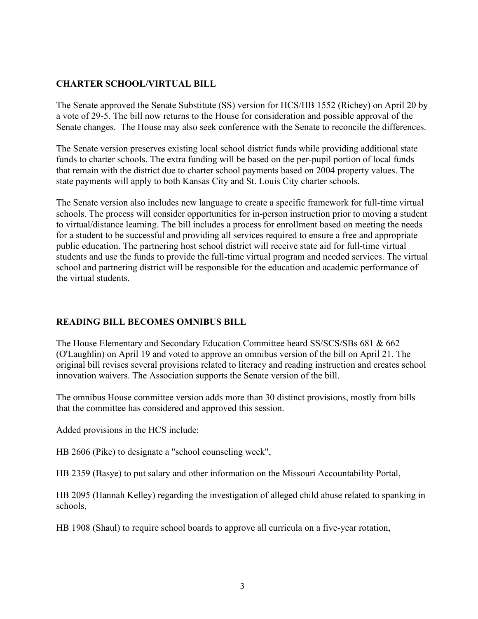#### **CHARTER SCHOOL/VIRTUAL BILL**

The Senate approved the Senate Substitute (SS) version for HCS/HB 1552 (Richey) on April 20 by a vote of 29-5. The bill now returns to the House for consideration and possible approval of the Senate changes. The House may also seek conference with the Senate to reconcile the differences.

The Senate version preserves existing local school district funds while providing additional state funds to charter schools. The extra funding will be based on the per-pupil portion of local funds that remain with the district due to charter school payments based on 2004 property values. The state payments will apply to both Kansas City and St. Louis City charter schools.

The Senate version also includes new language to create a specific framework for full-time virtual schools. The process will consider opportunities for in-person instruction prior to moving a student to virtual/distance learning. The bill includes a process for enrollment based on meeting the needs for a student to be successful and providing all services required to ensure a free and appropriate public education. The partnering host school district will receive state aid for full-time virtual students and use the funds to provide the full-time virtual program and needed services. The virtual school and partnering district will be responsible for the education and academic performance of the virtual students.

#### **READING BILL BECOMES OMNIBUS BILL**

The House Elementary and Secondary Education Committee heard SS/SCS/SBs 681 & 662 (O'Laughlin) on April 19 and voted to approve an omnibus version of the bill on April 21. The original bill revises several provisions related to literacy and reading instruction and creates school innovation waivers. The Association supports the Senate version of the bill.

The omnibus House committee version adds more than 30 distinct provisions, mostly from bills that the committee has considered and approved this session.

Added provisions in the HCS include:

HB 2606 (Pike) to designate a "school counseling week",

HB 2359 (Basye) to put salary and other information on the Missouri Accountability Portal,

HB 2095 (Hannah Kelley) regarding the investigation of alleged child abuse related to spanking in schools,

HB 1908 (Shaul) to require school boards to approve all curricula on a five-year rotation,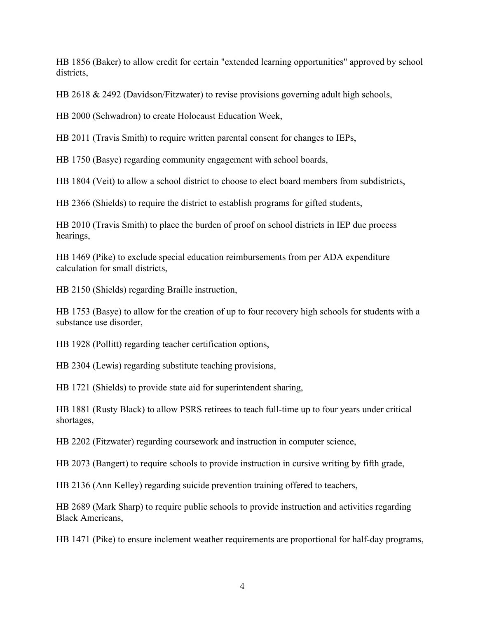HB 1856 (Baker) to allow credit for certain "extended learning opportunities" approved by school districts.

HB 2618 & 2492 (Davidson/Fitzwater) to revise provisions governing adult high schools,

HB 2000 (Schwadron) to create Holocaust Education Week,

HB 2011 (Travis Smith) to require written parental consent for changes to IEPs,

HB 1750 (Basye) regarding community engagement with school boards,

HB 1804 (Veit) to allow a school district to choose to elect board members from subdistricts,

HB 2366 (Shields) to require the district to establish programs for gifted students,

HB 2010 (Travis Smith) to place the burden of proof on school districts in IEP due process hearings,

HB 1469 (Pike) to exclude special education reimbursements from per ADA expenditure calculation for small districts,

HB 2150 (Shields) regarding Braille instruction,

HB 1753 (Basye) to allow for the creation of up to four recovery high schools for students with a substance use disorder,

HB 1928 (Pollitt) regarding teacher certification options,

HB 2304 (Lewis) regarding substitute teaching provisions,

HB 1721 (Shields) to provide state aid for superintendent sharing,

HB 1881 (Rusty Black) to allow PSRS retirees to teach full-time up to four years under critical shortages,

HB 2202 (Fitzwater) regarding coursework and instruction in computer science,

HB 2073 (Bangert) to require schools to provide instruction in cursive writing by fifth grade,

HB 2136 (Ann Kelley) regarding suicide prevention training offered to teachers,

HB 2689 (Mark Sharp) to require public schools to provide instruction and activities regarding Black Americans,

HB 1471 (Pike) to ensure inclement weather requirements are proportional for half-day programs,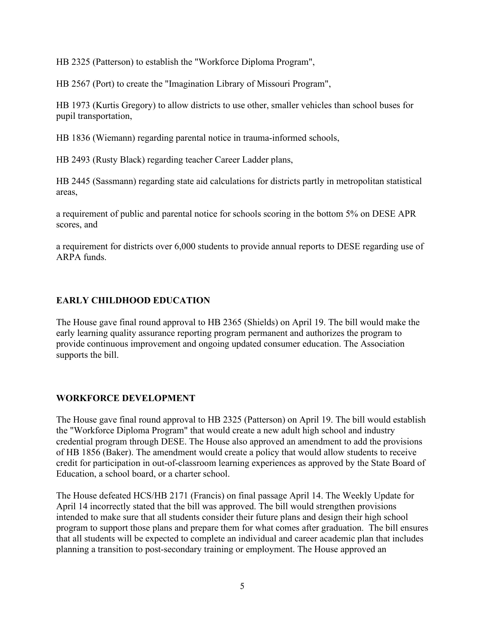HB 2325 (Patterson) to establish the "Workforce Diploma Program",

HB 2567 (Port) to create the "Imagination Library of Missouri Program",

HB 1973 (Kurtis Gregory) to allow districts to use other, smaller vehicles than school buses for pupil transportation,

HB 1836 (Wiemann) regarding parental notice in trauma-informed schools,

HB 2493 (Rusty Black) regarding teacher Career Ladder plans,

HB 2445 (Sassmann) regarding state aid calculations for districts partly in metropolitan statistical areas,

a requirement of public and parental notice for schools scoring in the bottom 5% on DESE APR scores, and

a requirement for districts over 6,000 students to provide annual reports to DESE regarding use of ARPA funds.

## **EARLY CHILDHOOD EDUCATION**

The House gave final round approval to HB 2365 (Shields) on April 19. The bill would make the early learning quality assurance reporting program permanent and authorizes the program to provide continuous improvement and ongoing updated consumer education. The Association supports the bill.

## **WORKFORCE DEVELOPMENT**

The House gave final round approval to HB 2325 (Patterson) on April 19. The bill would establish the "Workforce Diploma Program" that would create a new adult high school and industry credential program through DESE. The House also approved an amendment to add the provisions of HB 1856 (Baker). The amendment would create a policy that would allow students to receive credit for participation in out-of-classroom learning experiences as approved by the State Board of Education, a school board, or a charter school.

The House defeated HCS/HB 2171 (Francis) on final passage April 14. The Weekly Update for April 14 incorrectly stated that the bill was approved. The bill would strengthen provisions intended to make sure that all students consider their future plans and design their high school program to support those plans and prepare them for what comes after graduation. The bill ensures that all students will be expected to complete an individual and career academic plan that includes planning a transition to post-secondary training or employment. The House approved an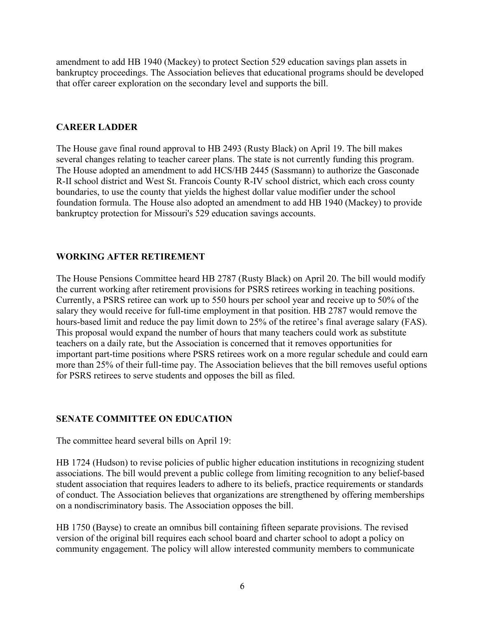amendment to add HB 1940 (Mackey) to protect Section 529 education savings plan assets in bankruptcy proceedings. The Association believes that educational programs should be developed that offer career exploration on the secondary level and supports the bill.

#### **CAREER LADDER**

The House gave final round approval to HB 2493 (Rusty Black) on April 19. The bill makes several changes relating to teacher career plans. The state is not currently funding this program. The House adopted an amendment to add HCS/HB 2445 (Sassmann) to authorize the Gasconade R-II school district and West St. Francois County R-IV school district, which each cross county boundaries, to use the county that yields the highest dollar value modifier under the school foundation formula. The House also adopted an amendment to add HB 1940 (Mackey) to provide bankruptcy protection for Missouri's 529 education savings accounts.

#### **WORKING AFTER RETIREMENT**

The House Pensions Committee heard HB 2787 (Rusty Black) on April 20. The bill would modify the current working after retirement provisions for PSRS retirees working in teaching positions. Currently, a PSRS retiree can work up to 550 hours per school year and receive up to 50% of the salary they would receive for full-time employment in that position. HB 2787 would remove the hours-based limit and reduce the pay limit down to 25% of the retiree's final average salary (FAS). This proposal would expand the number of hours that many teachers could work as substitute teachers on a daily rate, but the Association is concerned that it removes opportunities for important part-time positions where PSRS retirees work on a more regular schedule and could earn more than 25% of their full-time pay. The Association believes that the bill removes useful options for PSRS retirees to serve students and opposes the bill as filed.

## **SENATE COMMITTEE ON EDUCATION**

The committee heard several bills on April 19:

HB 1724 (Hudson) to revise policies of public higher education institutions in recognizing student associations. The bill would prevent a public college from limiting recognition to any belief-based student association that requires leaders to adhere to its beliefs, practice requirements or standards of conduct. The Association believes that organizations are strengthened by offering memberships on a nondiscriminatory basis. The Association opposes the bill.

HB 1750 (Bayse) to create an omnibus bill containing fifteen separate provisions. The revised version of the original bill requires each school board and charter school to adopt a policy on community engagement. The policy will allow interested community members to communicate